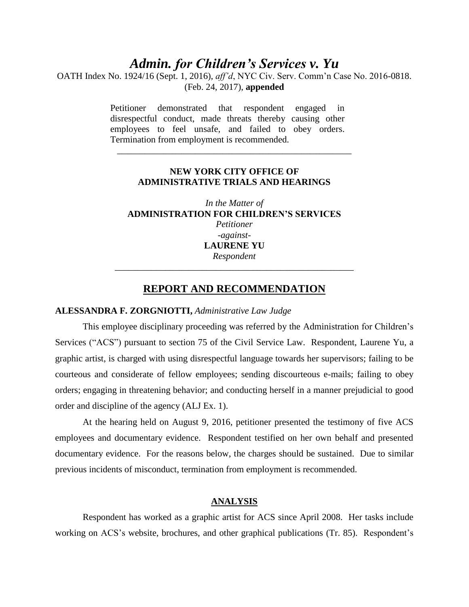# *Admin. for Children's Services v. Yu*

OATH Index No. 1924/16 (Sept. 1, 2016), *aff'd*, NYC Civ. Serv. Comm'n Case No. 2016-0818. (Feb. 24, 2017), **appended**

> Petitioner demonstrated that respondent engaged in disrespectful conduct, made threats thereby causing other employees to feel unsafe, and failed to obey orders. Termination from employment is recommended.

### **NEW YORK CITY OFFICE OF ADMINISTRATIVE TRIALS AND HEARINGS**

\_\_\_\_\_\_\_\_\_\_\_\_\_\_\_\_\_\_\_\_\_\_\_\_\_\_\_\_\_\_\_\_\_\_\_\_\_\_\_\_\_\_\_\_\_\_\_\_\_\_\_

*In the Matter of* **ADMINISTRATION FOR CHILDREN'S SERVICES** *Petitioner -against-***LAURENE YU** *Respondent \_\_\_\_\_\_\_\_\_\_\_\_\_\_\_\_\_\_\_\_\_\_\_\_\_\_\_\_\_\_\_\_\_\_\_\_\_\_\_\_\_\_\_\_\_\_\_\_\_\_\_\_*

# **REPORT AND RECOMMENDATION**

### **ALESSANDRA F. ZORGNIOTTI,** *Administrative Law Judge*

This employee disciplinary proceeding was referred by the Administration for Children's Services ("ACS") pursuant to section 75 of the Civil Service Law. Respondent, Laurene Yu, a graphic artist, is charged with using disrespectful language towards her supervisors; failing to be courteous and considerate of fellow employees; sending discourteous e-mails; failing to obey orders; engaging in threatening behavior; and conducting herself in a manner prejudicial to good order and discipline of the agency (ALJ Ex. 1).

At the hearing held on August 9, 2016, petitioner presented the testimony of five ACS employees and documentary evidence. Respondent testified on her own behalf and presented documentary evidence. For the reasons below, the charges should be sustained. Due to similar previous incidents of misconduct, termination from employment is recommended.

## **ANALYSIS**

Respondent has worked as a graphic artist for ACS since April 2008. Her tasks include working on ACS's website, brochures, and other graphical publications (Tr. 85). Respondent's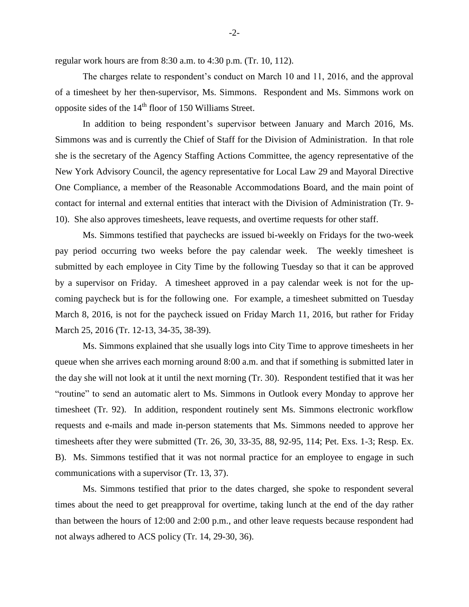regular work hours are from 8:30 a.m. to 4:30 p.m. (Tr. 10, 112).

The charges relate to respondent's conduct on March 10 and 11, 2016, and the approval of a timesheet by her then-supervisor, Ms. Simmons. Respondent and Ms. Simmons work on opposite sides of the  $14<sup>th</sup>$  floor of 150 Williams Street.

In addition to being respondent's supervisor between January and March 2016, Ms. Simmons was and is currently the Chief of Staff for the Division of Administration. In that role she is the secretary of the Agency Staffing Actions Committee, the agency representative of the New York Advisory Council, the agency representative for Local Law 29 and Mayoral Directive One Compliance, a member of the Reasonable Accommodations Board, and the main point of contact for internal and external entities that interact with the Division of Administration (Tr. 9- 10). She also approves timesheets, leave requests, and overtime requests for other staff.

Ms. Simmons testified that paychecks are issued bi-weekly on Fridays for the two-week pay period occurring two weeks before the pay calendar week. The weekly timesheet is submitted by each employee in City Time by the following Tuesday so that it can be approved by a supervisor on Friday. A timesheet approved in a pay calendar week is not for the upcoming paycheck but is for the following one. For example, a timesheet submitted on Tuesday March 8, 2016, is not for the paycheck issued on Friday March 11, 2016, but rather for Friday March 25, 2016 (Tr. 12-13, 34-35, 38-39).

Ms. Simmons explained that she usually logs into City Time to approve timesheets in her queue when she arrives each morning around 8:00 a.m. and that if something is submitted later in the day she will not look at it until the next morning (Tr. 30). Respondent testified that it was her "routine" to send an automatic alert to Ms. Simmons in Outlook every Monday to approve her timesheet (Tr. 92). In addition, respondent routinely sent Ms. Simmons electronic workflow requests and e-mails and made in-person statements that Ms. Simmons needed to approve her timesheets after they were submitted (Tr. 26, 30, 33-35, 88, 92-95, 114; Pet. Exs. 1-3; Resp. Ex. B). Ms. Simmons testified that it was not normal practice for an employee to engage in such communications with a supervisor (Tr. 13, 37).

Ms. Simmons testified that prior to the dates charged, she spoke to respondent several times about the need to get preapproval for overtime, taking lunch at the end of the day rather than between the hours of 12:00 and 2:00 p.m., and other leave requests because respondent had not always adhered to ACS policy (Tr. 14, 29-30, 36).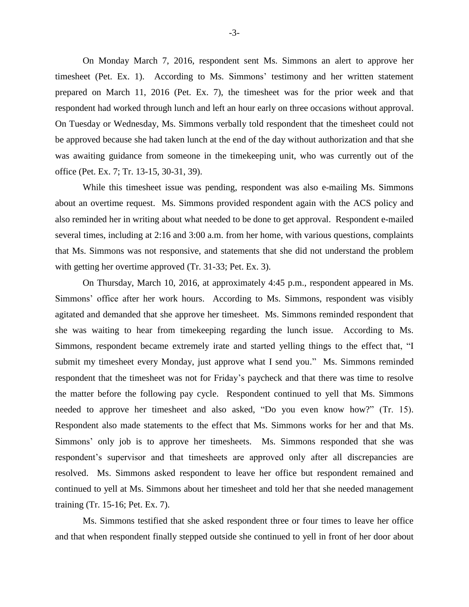On Monday March 7, 2016, respondent sent Ms. Simmons an alert to approve her timesheet (Pet. Ex. 1). According to Ms. Simmons' testimony and her written statement prepared on March 11, 2016 (Pet. Ex. 7), the timesheet was for the prior week and that respondent had worked through lunch and left an hour early on three occasions without approval. On Tuesday or Wednesday, Ms. Simmons verbally told respondent that the timesheet could not be approved because she had taken lunch at the end of the day without authorization and that she was awaiting guidance from someone in the timekeeping unit, who was currently out of the office (Pet. Ex. 7; Tr. 13-15, 30-31, 39).

While this timesheet issue was pending, respondent was also e-mailing Ms. Simmons about an overtime request. Ms. Simmons provided respondent again with the ACS policy and also reminded her in writing about what needed to be done to get approval. Respondent e-mailed several times, including at 2:16 and 3:00 a.m. from her home, with various questions, complaints that Ms. Simmons was not responsive, and statements that she did not understand the problem with getting her overtime approved (Tr. 31-33; Pet. Ex. 3).

On Thursday, March 10, 2016, at approximately 4:45 p.m., respondent appeared in Ms. Simmons' office after her work hours. According to Ms. Simmons, respondent was visibly agitated and demanded that she approve her timesheet. Ms. Simmons reminded respondent that she was waiting to hear from timekeeping regarding the lunch issue. According to Ms. Simmons, respondent became extremely irate and started yelling things to the effect that, "I submit my timesheet every Monday, just approve what I send you." Ms. Simmons reminded respondent that the timesheet was not for Friday's paycheck and that there was time to resolve the matter before the following pay cycle. Respondent continued to yell that Ms. Simmons needed to approve her timesheet and also asked, "Do you even know how?" (Tr. 15). Respondent also made statements to the effect that Ms. Simmons works for her and that Ms. Simmons' only job is to approve her timesheets. Ms. Simmons responded that she was respondent's supervisor and that timesheets are approved only after all discrepancies are resolved. Ms. Simmons asked respondent to leave her office but respondent remained and continued to yell at Ms. Simmons about her timesheet and told her that she needed management training (Tr. 15-16; Pet. Ex. 7).

Ms. Simmons testified that she asked respondent three or four times to leave her office and that when respondent finally stepped outside she continued to yell in front of her door about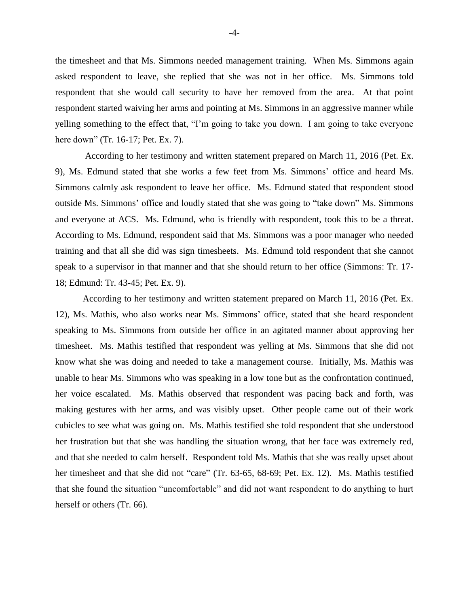the timesheet and that Ms. Simmons needed management training. When Ms. Simmons again asked respondent to leave, she replied that she was not in her office. Ms. Simmons told respondent that she would call security to have her removed from the area. At that point respondent started waiving her arms and pointing at Ms. Simmons in an aggressive manner while yelling something to the effect that, "I'm going to take you down. I am going to take everyone here down" (Tr. 16-17; Pet. Ex. 7).

According to her testimony and written statement prepared on March 11, 2016 (Pet. Ex. 9), Ms. Edmund stated that she works a few feet from Ms. Simmons' office and heard Ms. Simmons calmly ask respondent to leave her office. Ms. Edmund stated that respondent stood outside Ms. Simmons' office and loudly stated that she was going to "take down" Ms. Simmons and everyone at ACS. Ms. Edmund, who is friendly with respondent, took this to be a threat. According to Ms. Edmund, respondent said that Ms. Simmons was a poor manager who needed training and that all she did was sign timesheets. Ms. Edmund told respondent that she cannot speak to a supervisor in that manner and that she should return to her office (Simmons: Tr. 17- 18; Edmund: Tr. 43-45; Pet. Ex. 9).

According to her testimony and written statement prepared on March 11, 2016 (Pet. Ex. 12), Ms. Mathis, who also works near Ms. Simmons' office, stated that she heard respondent speaking to Ms. Simmons from outside her office in an agitated manner about approving her timesheet. Ms. Mathis testified that respondent was yelling at Ms. Simmons that she did not know what she was doing and needed to take a management course. Initially, Ms. Mathis was unable to hear Ms. Simmons who was speaking in a low tone but as the confrontation continued, her voice escalated. Ms. Mathis observed that respondent was pacing back and forth, was making gestures with her arms, and was visibly upset. Other people came out of their work cubicles to see what was going on. Ms. Mathis testified she told respondent that she understood her frustration but that she was handling the situation wrong, that her face was extremely red, and that she needed to calm herself. Respondent told Ms. Mathis that she was really upset about her timesheet and that she did not "care" (Tr. 63-65, 68-69; Pet. Ex. 12). Ms. Mathis testified that she found the situation "uncomfortable" and did not want respondent to do anything to hurt herself or others (Tr. 66).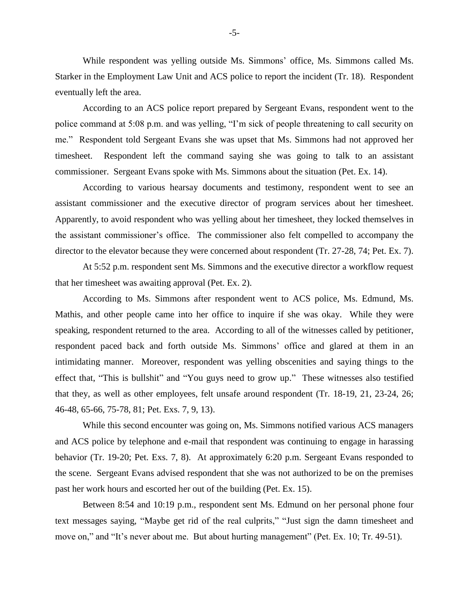While respondent was yelling outside Ms. Simmons' office, Ms. Simmons called Ms. Starker in the Employment Law Unit and ACS police to report the incident (Tr. 18). Respondent eventually left the area.

According to an ACS police report prepared by Sergeant Evans, respondent went to the police command at 5:08 p.m. and was yelling, "I'm sick of people threatening to call security on me." Respondent told Sergeant Evans she was upset that Ms. Simmons had not approved her timesheet. Respondent left the command saying she was going to talk to an assistant commissioner. Sergeant Evans spoke with Ms. Simmons about the situation (Pet. Ex. 14).

According to various hearsay documents and testimony, respondent went to see an assistant commissioner and the executive director of program services about her timesheet. Apparently, to avoid respondent who was yelling about her timesheet, they locked themselves in the assistant commissioner's office. The commissioner also felt compelled to accompany the director to the elevator because they were concerned about respondent (Tr. 27-28, 74; Pet. Ex. 7).

At 5:52 p.m. respondent sent Ms. Simmons and the executive director a workflow request that her timesheet was awaiting approval (Pet. Ex. 2).

According to Ms. Simmons after respondent went to ACS police, Ms. Edmund, Ms. Mathis, and other people came into her office to inquire if she was okay. While they were speaking, respondent returned to the area. According to all of the witnesses called by petitioner, respondent paced back and forth outside Ms. Simmons' office and glared at them in an intimidating manner. Moreover, respondent was yelling obscenities and saying things to the effect that, "This is bullshit" and "You guys need to grow up." These witnesses also testified that they, as well as other employees, felt unsafe around respondent (Tr. 18-19, 21, 23-24, 26; 46-48, 65-66, 75-78, 81; Pet. Exs. 7, 9, 13).

While this second encounter was going on, Ms. Simmons notified various ACS managers and ACS police by telephone and e-mail that respondent was continuing to engage in harassing behavior (Tr. 19-20; Pet. Exs. 7, 8). At approximately 6:20 p.m. Sergeant Evans responded to the scene. Sergeant Evans advised respondent that she was not authorized to be on the premises past her work hours and escorted her out of the building (Pet. Ex. 15).

Between 8:54 and 10:19 p.m., respondent sent Ms. Edmund on her personal phone four text messages saying, "Maybe get rid of the real culprits," "Just sign the damn timesheet and move on," and "It's never about me. But about hurting management" (Pet. Ex. 10; Tr. 49-51).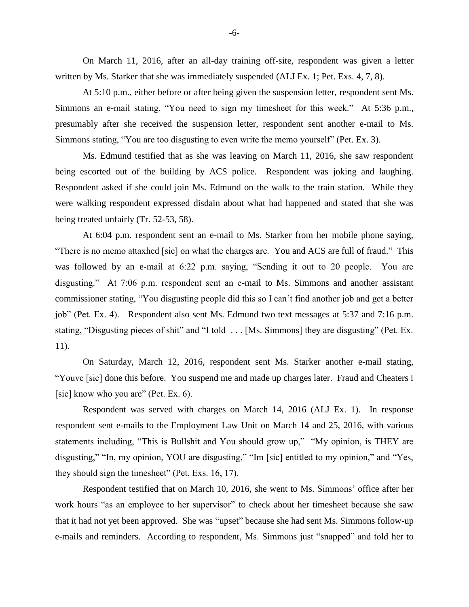On March 11, 2016, after an all-day training off-site, respondent was given a letter written by Ms. Starker that she was immediately suspended (ALJ Ex. 1; Pet. Exs. 4, 7, 8).

At 5:10 p.m., either before or after being given the suspension letter, respondent sent Ms. Simmons an e-mail stating, "You need to sign my timesheet for this week." At 5:36 p.m., presumably after she received the suspension letter, respondent sent another e-mail to Ms. Simmons stating, "You are too disgusting to even write the memo yourself" (Pet. Ex. 3).

Ms. Edmund testified that as she was leaving on March 11, 2016, she saw respondent being escorted out of the building by ACS police. Respondent was joking and laughing. Respondent asked if she could join Ms. Edmund on the walk to the train station. While they were walking respondent expressed disdain about what had happened and stated that she was being treated unfairly (Tr. 52-53, 58).

At 6:04 p.m. respondent sent an e-mail to Ms. Starker from her mobile phone saying, "There is no memo attaxhed [sic] on what the charges are. You and ACS are full of fraud." This was followed by an e-mail at 6:22 p.m. saying, "Sending it out to 20 people. You are disgusting." At 7:06 p.m. respondent sent an e-mail to Ms. Simmons and another assistant commissioner stating, "You disgusting people did this so I can't find another job and get a better job" (Pet. Ex. 4). Respondent also sent Ms. Edmund two text messages at 5:37 and 7:16 p.m. stating, "Disgusting pieces of shit" and "I told . . . [Ms. Simmons] they are disgusting" (Pet. Ex. 11).

On Saturday, March 12, 2016, respondent sent Ms. Starker another e-mail stating, "Youve [sic] done this before. You suspend me and made up charges later. Fraud and Cheaters i [sic] know who you are" (Pet. Ex. 6).

Respondent was served with charges on March 14, 2016 (ALJ Ex. 1). In response respondent sent e-mails to the Employment Law Unit on March 14 and 25, 2016, with various statements including, "This is Bullshit and You should grow up," "My opinion, is THEY are disgusting," "In, my opinion, YOU are disgusting," "Im [sic] entitled to my opinion," and "Yes, they should sign the timesheet" (Pet. Exs. 16, 17).

Respondent testified that on March 10, 2016, she went to Ms. Simmons' office after her work hours "as an employee to her supervisor" to check about her timesheet because she saw that it had not yet been approved. She was "upset" because she had sent Ms. Simmons follow-up e-mails and reminders. According to respondent, Ms. Simmons just "snapped" and told her to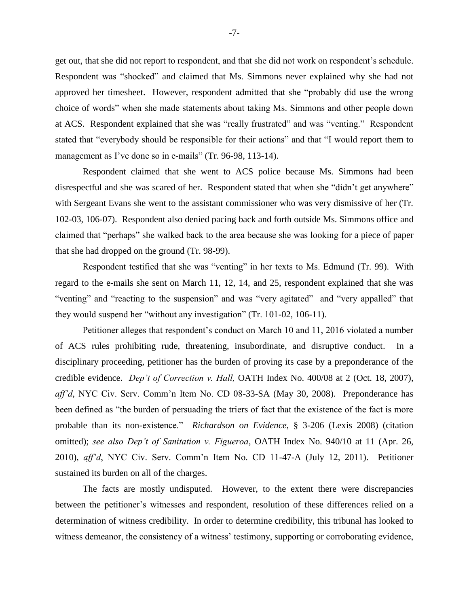get out, that she did not report to respondent, and that she did not work on respondent's schedule. Respondent was "shocked" and claimed that Ms. Simmons never explained why she had not approved her timesheet. However, respondent admitted that she "probably did use the wrong choice of words" when she made statements about taking Ms. Simmons and other people down at ACS. Respondent explained that she was "really frustrated" and was "venting." Respondent stated that "everybody should be responsible for their actions" and that "I would report them to management as I've done so in e-mails" (Tr. 96-98, 113-14).

Respondent claimed that she went to ACS police because Ms. Simmons had been disrespectful and she was scared of her. Respondent stated that when she "didn't get anywhere" with Sergeant Evans she went to the assistant commissioner who was very dismissive of her (Tr. 102-03, 106-07). Respondent also denied pacing back and forth outside Ms. Simmons office and claimed that "perhaps" she walked back to the area because she was looking for a piece of paper that she had dropped on the ground (Tr. 98-99).

Respondent testified that she was "venting" in her texts to Ms. Edmund (Tr. 99). With regard to the e-mails she sent on March 11, 12, 14, and 25, respondent explained that she was "venting" and "reacting to the suspension" and was "very agitated" and "very appalled" that they would suspend her "without any investigation" (Tr. 101-02, 106-11).

Petitioner alleges that respondent's conduct on March 10 and 11, 2016 violated a number of ACS rules prohibiting rude, threatening, insubordinate, and disruptive conduct. In a disciplinary proceeding, petitioner has the burden of proving its case by a preponderance of the credible evidence. *Dep't of Correction v. Hall,* OATH Index No. 400/08 at 2 (Oct. 18, 2007), *aff'd,* NYC Civ. Serv. Comm'n Item No. CD 08-33-SA (May 30, 2008). Preponderance has been defined as "the burden of persuading the triers of fact that the existence of the fact is more probable than its non-existence." *Richardson on Evidence*, § 3-206 (Lexis 2008) (citation omitted); *see also Dep't of Sanitation v. Figueroa*, OATH Index No. 940/10 at 11 (Apr. 26, 2010), *aff'd*, NYC Civ. Serv. Comm'n Item No. CD 11-47-A (July 12, 2011). Petitioner sustained its burden on all of the charges.

The facts are mostly undisputed. However, to the extent there were discrepancies between the petitioner's witnesses and respondent, resolution of these differences relied on a determination of witness credibility. In order to determine credibility, this tribunal has looked to witness demeanor, the consistency of a witness' testimony, supporting or corroborating evidence,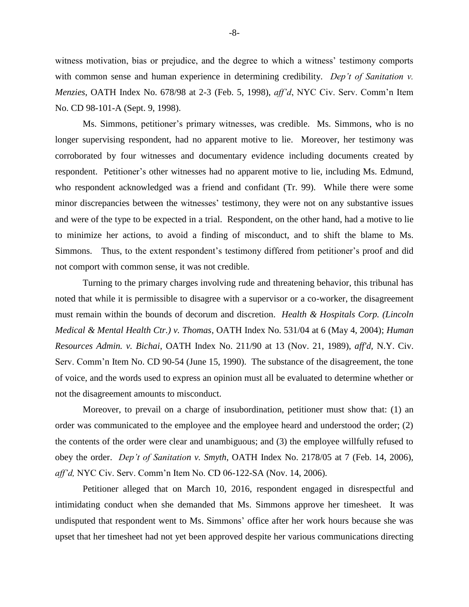witness motivation, bias or prejudice, and the degree to which a witness' testimony comports with common sense and human experience in determining credibility. *Dep't of Sanitation v. Menzies*, OATH Index No. 678/98 at 2-3 (Feb. 5, 1998), *aff'd*, NYC Civ. Serv. Comm'n Item No. CD 98-101-A (Sept. 9, 1998).

Ms. Simmons, petitioner's primary witnesses, was credible. Ms. Simmons, who is no longer supervising respondent, had no apparent motive to lie. Moreover, her testimony was corroborated by four witnesses and documentary evidence including documents created by respondent. Petitioner's other witnesses had no apparent motive to lie, including Ms. Edmund, who respondent acknowledged was a friend and confidant (Tr. 99). While there were some minor discrepancies between the witnesses' testimony, they were not on any substantive issues and were of the type to be expected in a trial. Respondent, on the other hand, had a motive to lie to minimize her actions, to avoid a finding of misconduct, and to shift the blame to Ms. Simmons. Thus, to the extent respondent's testimony differed from petitioner's proof and did not comport with common sense, it was not credible.

Turning to the primary charges involving rude and threatening behavior, this tribunal has noted that while it is permissible to disagree with a supervisor or a co-worker, the disagreement must remain within the bounds of decorum and discretion. *Health & Hospitals Corp. (Lincoln Medical & Mental Health Ctr.) v. Thomas*, OATH Index No. 531/04 at 6 (May 4, 2004); *Human Resources Admin. v. Bichai*, OATH Index No. 211/90 at 13 (Nov. 21, 1989), *aff'd,* N.Y. Civ. Serv. Comm'n Item No. CD 90-54 (June 15, 1990). The substance of the disagreement, the tone of voice, and the words used to express an opinion must all be evaluated to determine whether or not the disagreement amounts to misconduct.

Moreover, to prevail on a charge of insubordination, petitioner must show that: (1) an order was communicated to the employee and the employee heard and understood the order; (2) the contents of the order were clear and unambiguous; and (3) the employee willfully refused to obey the order. *Dep't of Sanitation v. Smyth*, OATH Index No. 2178/05 at 7 (Feb. 14, 2006), *aff'd,* NYC Civ. Serv. Comm'n Item No. CD 06-122-SA (Nov. 14, 2006).

Petitioner alleged that on March 10, 2016, respondent engaged in disrespectful and intimidating conduct when she demanded that Ms. Simmons approve her timesheet. It was undisputed that respondent went to Ms. Simmons' office after her work hours because she was upset that her timesheet had not yet been approved despite her various communications directing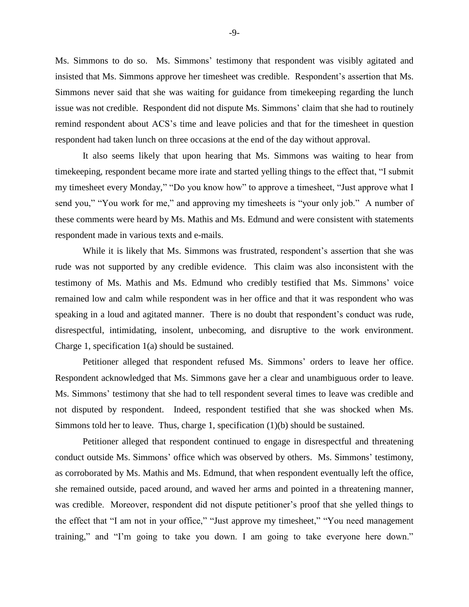Ms. Simmons to do so. Ms. Simmons' testimony that respondent was visibly agitated and insisted that Ms. Simmons approve her timesheet was credible. Respondent's assertion that Ms. Simmons never said that she was waiting for guidance from timekeeping regarding the lunch issue was not credible. Respondent did not dispute Ms. Simmons' claim that she had to routinely remind respondent about ACS's time and leave policies and that for the timesheet in question respondent had taken lunch on three occasions at the end of the day without approval.

It also seems likely that upon hearing that Ms. Simmons was waiting to hear from timekeeping, respondent became more irate and started yelling things to the effect that, "I submit my timesheet every Monday," "Do you know how" to approve a timesheet, "Just approve what I send you," "You work for me," and approving my timesheets is "your only job." A number of these comments were heard by Ms. Mathis and Ms. Edmund and were consistent with statements respondent made in various texts and e-mails.

While it is likely that Ms. Simmons was frustrated, respondent's assertion that she was rude was not supported by any credible evidence. This claim was also inconsistent with the testimony of Ms. Mathis and Ms. Edmund who credibly testified that Ms. Simmons' voice remained low and calm while respondent was in her office and that it was respondent who was speaking in a loud and agitated manner. There is no doubt that respondent's conduct was rude, disrespectful, intimidating, insolent, unbecoming, and disruptive to the work environment. Charge 1, specification 1(a) should be sustained.

Petitioner alleged that respondent refused Ms. Simmons' orders to leave her office. Respondent acknowledged that Ms. Simmons gave her a clear and unambiguous order to leave. Ms. Simmons' testimony that she had to tell respondent several times to leave was credible and not disputed by respondent. Indeed, respondent testified that she was shocked when Ms. Simmons told her to leave. Thus, charge 1, specification (1)(b) should be sustained.

Petitioner alleged that respondent continued to engage in disrespectful and threatening conduct outside Ms. Simmons' office which was observed by others. Ms. Simmons' testimony, as corroborated by Ms. Mathis and Ms. Edmund, that when respondent eventually left the office, she remained outside, paced around, and waved her arms and pointed in a threatening manner, was credible. Moreover, respondent did not dispute petitioner's proof that she yelled things to the effect that "I am not in your office," "Just approve my timesheet," "You need management training," and "I'm going to take you down. I am going to take everyone here down."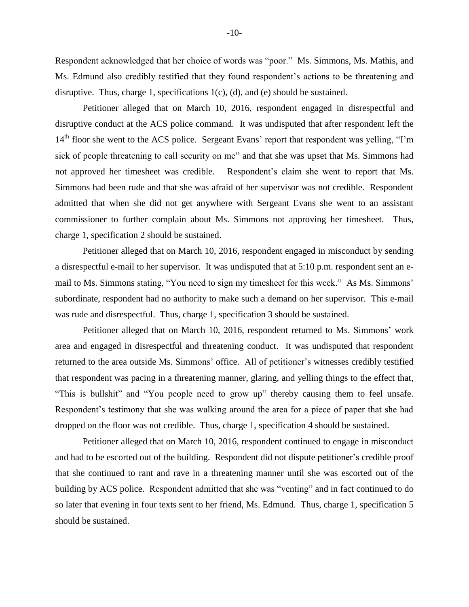Respondent acknowledged that her choice of words was "poor." Ms. Simmons, Ms. Mathis, and Ms. Edmund also credibly testified that they found respondent's actions to be threatening and disruptive. Thus, charge 1, specifications 1(c), (d), and (e) should be sustained.

Petitioner alleged that on March 10, 2016, respondent engaged in disrespectful and disruptive conduct at the ACS police command. It was undisputed that after respondent left the  $14<sup>th</sup>$  floor she went to the ACS police. Sergeant Evans' report that respondent was yelling, "I'm sick of people threatening to call security on me" and that she was upset that Ms. Simmons had not approved her timesheet was credible. Respondent's claim she went to report that Ms. Simmons had been rude and that she was afraid of her supervisor was not credible. Respondent admitted that when she did not get anywhere with Sergeant Evans she went to an assistant commissioner to further complain about Ms. Simmons not approving her timesheet. Thus, charge 1, specification 2 should be sustained.

Petitioner alleged that on March 10, 2016, respondent engaged in misconduct by sending a disrespectful e-mail to her supervisor. It was undisputed that at 5:10 p.m. respondent sent an email to Ms. Simmons stating, "You need to sign my timesheet for this week." As Ms. Simmons' subordinate, respondent had no authority to make such a demand on her supervisor. This e-mail was rude and disrespectful. Thus, charge 1, specification 3 should be sustained.

Petitioner alleged that on March 10, 2016, respondent returned to Ms. Simmons' work area and engaged in disrespectful and threatening conduct. It was undisputed that respondent returned to the area outside Ms. Simmons' office. All of petitioner's witnesses credibly testified that respondent was pacing in a threatening manner, glaring, and yelling things to the effect that, "This is bullshit" and "You people need to grow up" thereby causing them to feel unsafe. Respondent's testimony that she was walking around the area for a piece of paper that she had dropped on the floor was not credible. Thus, charge 1, specification 4 should be sustained.

Petitioner alleged that on March 10, 2016, respondent continued to engage in misconduct and had to be escorted out of the building. Respondent did not dispute petitioner's credible proof that she continued to rant and rave in a threatening manner until she was escorted out of the building by ACS police. Respondent admitted that she was "venting" and in fact continued to do so later that evening in four texts sent to her friend, Ms. Edmund. Thus, charge 1, specification 5 should be sustained.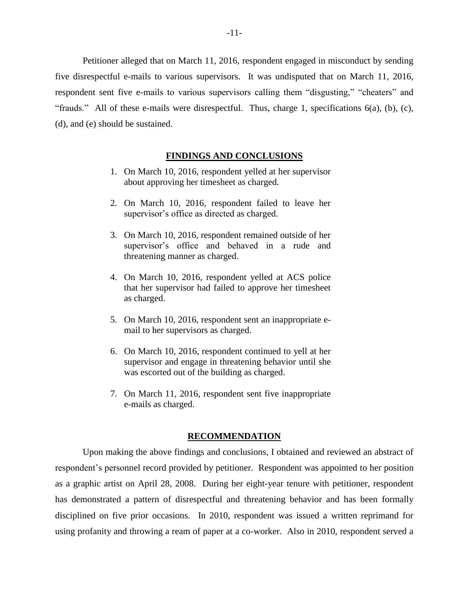Petitioner alleged that on March 11, 2016, respondent engaged in misconduct by sending five disrespectful e-mails to various supervisors. It was undisputed that on March 11, 2016, respondent sent five e-mails to various supervisors calling them "disgusting," "cheaters" and "frauds." All of these e-mails were disrespectful. Thus, charge 1, specifications 6(a), (b), (c), (d), and (e) should be sustained.

### **FINDINGS AND CONCLUSIONS**

- 1. On March 10, 2016, respondent yelled at her supervisor about approving her timesheet as charged.
- 2. On March 10, 2016, respondent failed to leave her supervisor's office as directed as charged.
- 3. On March 10, 2016, respondent remained outside of her supervisor's office and behaved in a rude and threatening manner as charged.
- 4. On March 10, 2016, respondent yelled at ACS police that her supervisor had failed to approve her timesheet as charged.
- 5. On March 10, 2016, respondent sent an inappropriate email to her supervisors as charged.
- 6. On March 10, 2016, respondent continued to yell at her supervisor and engage in threatening behavior until she was escorted out of the building as charged.
- 7. On March 11, 2016, respondent sent five inappropriate e-mails as charged.

#### **RECOMMENDATION**

Upon making the above findings and conclusions, I obtained and reviewed an abstract of respondent's personnel record provided by petitioner. Respondent was appointed to her position as a graphic artist on April 28, 2008. During her eight-year tenure with petitioner, respondent has demonstrated a pattern of disrespectful and threatening behavior and has been formally disciplined on five prior occasions. In 2010, respondent was issued a written reprimand for using profanity and throwing a ream of paper at a co-worker. Also in 2010, respondent served a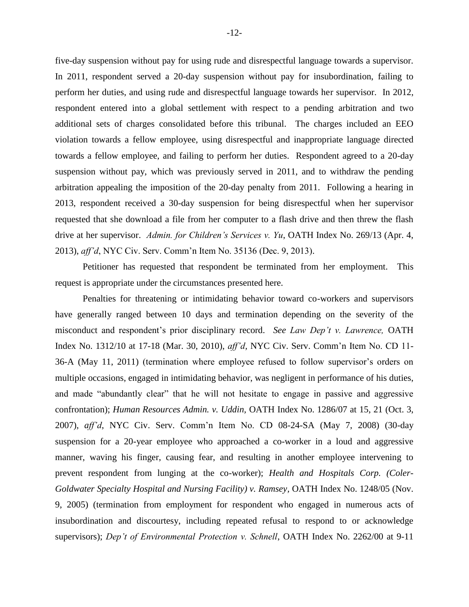five-day suspension without pay for using rude and disrespectful language towards a supervisor. In 2011, respondent served a 20-day suspension without pay for insubordination, failing to perform her duties, and using rude and disrespectful language towards her supervisor. In 2012, respondent entered into a global settlement with respect to a pending arbitration and two additional sets of charges consolidated before this tribunal. The charges included an EEO violation towards a fellow employee, using disrespectful and inappropriate language directed towards a fellow employee, and failing to perform her duties. Respondent agreed to a 20-day suspension without pay, which was previously served in 2011, and to withdraw the pending arbitration appealing the imposition of the 20-day penalty from 2011. Following a hearing in 2013, respondent received a 30-day suspension for being disrespectful when her supervisor requested that she download a file from her computer to a flash drive and then threw the flash drive at her supervisor. *Admin. for Children's Services v. Yu*, OATH Index No. 269/13 (Apr. 4, 2013), *aff'd*, NYC Civ. Serv. Comm'n Item No. 35136 (Dec. 9, 2013).

Petitioner has requested that respondent be terminated from her employment. This request is appropriate under the circumstances presented here.

Penalties for threatening or intimidating behavior toward co-workers and supervisors have generally ranged between 10 days and termination depending on the severity of the misconduct and respondent's prior disciplinary record. *See Law Dep't v. Lawrence,* OATH Index No. 1312/10 at 17-18 (Mar. 30, 2010), *aff'd,* NYC Civ. Serv. Comm'n Item No. CD 11- 36-A (May 11, 2011) (termination where employee refused to follow supervisor's orders on multiple occasions, engaged in intimidating behavior, was negligent in performance of his duties, and made "abundantly clear" that he will not hesitate to engage in passive and aggressive confrontation); *Human Resources Admin. v. Uddin,* OATH Index No. 1286/07 at 15, 21 (Oct. 3, 2007), *aff'd*, NYC Civ. Serv. Comm'n Item No. CD 08-24-SA (May 7, 2008) (30-day suspension for a 20-year employee who approached a co-worker in a loud and aggressive manner, waving his finger, causing fear, and resulting in another employee intervening to prevent respondent from lunging at the co-worker); *Health and Hospitals Corp. (Coler-Goldwater Specialty Hospital and Nursing Facility) v. Ramsey,* OATH Index No. 1248/05 (Nov. 9, 2005) (termination from employment for respondent who engaged in numerous acts of insubordination and discourtesy, including repeated refusal to respond to or acknowledge supervisors); *Dep't of Environmental Protection v. Schnell*, OATH Index No. 2262/00 at 9-11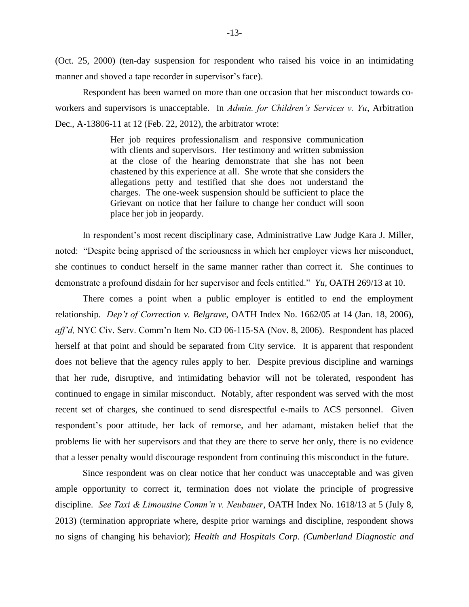(Oct. 25, 2000) (ten-day suspension for respondent who raised his voice in an intimidating manner and shoved a tape recorder in supervisor's face).

Respondent has been warned on more than one occasion that her misconduct towards coworkers and supervisors is unacceptable. In *Admin. for Children's Services v. Yu*, Arbitration Dec., A-13806-11 at 12 (Feb. 22, 2012), the arbitrator wrote:

> Her job requires professionalism and responsive communication with clients and supervisors. Her testimony and written submission at the close of the hearing demonstrate that she has not been chastened by this experience at all. She wrote that she considers the allegations petty and testified that she does not understand the charges. The one-week suspension should be sufficient to place the Grievant on notice that her failure to change her conduct will soon place her job in jeopardy.

In respondent's most recent disciplinary case, Administrative Law Judge Kara J. Miller, noted: "Despite being apprised of the seriousness in which her employer views her misconduct, she continues to conduct herself in the same manner rather than correct it. She continues to demonstrate a profound disdain for her supervisor and feels entitled." *Yu*, OATH 269/13 at 10.

There comes a point when a public employer is entitled to end the employment relationship. *Dep't of Correction v. Belgrave*, OATH Index No. 1662/05 at 14 (Jan. 18, 2006), *aff'd,* NYC Civ. Serv. Comm'n Item No. CD 06-115-SA (Nov. 8, 2006). Respondent has placed herself at that point and should be separated from City service. It is apparent that respondent does not believe that the agency rules apply to her. Despite previous discipline and warnings that her rude, disruptive, and intimidating behavior will not be tolerated, respondent has continued to engage in similar misconduct. Notably, after respondent was served with the most recent set of charges, she continued to send disrespectful e-mails to ACS personnel. Given respondent's poor attitude, her lack of remorse, and her adamant, mistaken belief that the problems lie with her supervisors and that they are there to serve her only, there is no evidence that a lesser penalty would discourage respondent from continuing this misconduct in the future.

Since respondent was on clear notice that her conduct was unacceptable and was given ample opportunity to correct it, termination does not violate the principle of progressive discipline. *See Taxi & Limousine Comm'n v. Neubauer*, OATH Index No. 1618/13 at 5 (July 8, 2013) (termination appropriate where, despite prior warnings and discipline, respondent shows no signs of changing his behavior); *Health and Hospitals Corp. (Cumberland Diagnostic and*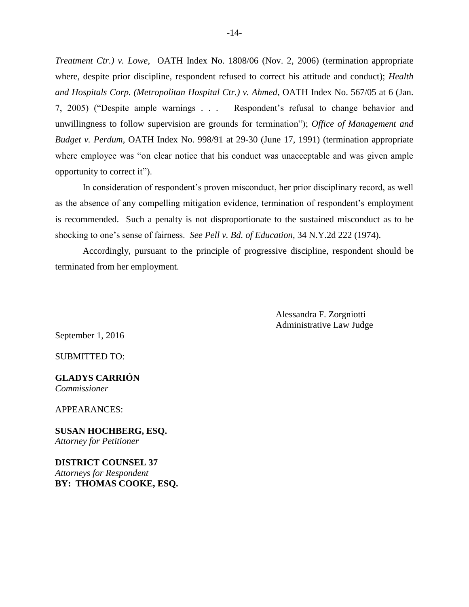*Treatment Ctr.) v. Lowe*, OATH Index No. 1808/06 (Nov. 2, 2006) (termination appropriate where, despite prior discipline, respondent refused to correct his attitude and conduct); *Health and Hospitals Corp. (Metropolitan Hospital Ctr.) v. Ahmed*, OATH Index No. 567/05 at 6 (Jan. 7, 2005) ("Despite ample warnings . . . Respondent's refusal to change behavior and unwillingness to follow supervision are grounds for termination"); *Office of Management and Budget v. Perdum*, OATH Index No. 998/91 at 29-30 (June 17, 1991) (termination appropriate where employee was "on clear notice that his conduct was unacceptable and was given ample opportunity to correct it").

In consideration of respondent's proven misconduct, her prior disciplinary record, as well as the absence of any compelling mitigation evidence, termination of respondent's employment is recommended. Such a penalty is not disproportionate to the sustained misconduct as to be shocking to one's sense of fairness. *See Pell v. Bd. of Education*, 34 N.Y.2d 222 (1974).

Accordingly, pursuant to the principle of progressive discipline, respondent should be terminated from her employment.

> Alessandra F. Zorgniotti Administrative Law Judge

September 1, 2016

SUBMITTED TO:

**GLADYS CARRIÓN** *Commissioner*

APPEARANCES:

**SUSAN HOCHBERG, ESQ.** *Attorney for Petitioner*

**DISTRICT COUNSEL 37**  *Attorneys for Respondent* **BY: THOMAS COOKE, ESQ.**